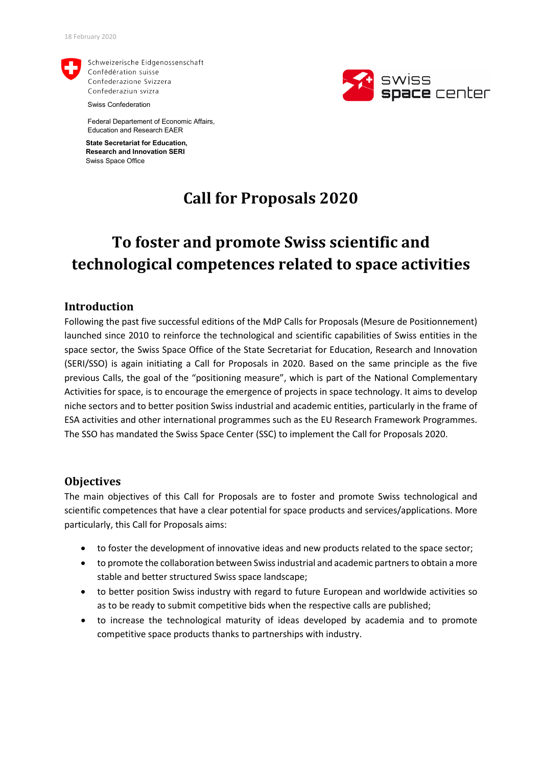

Schweizerische Eidgenossenschaft Confédération suisse Confederazione Svizzera Confederaziun svizra

Swiss Confederation

Federal Departement of Economic Affairs, Education and Research EAER

**State Secretariat for Education, Research and Innovation SERI** Swiss Space Office

## **Call for Proposals 2020**

# **To foster and promote Swiss scientific and technological competences related to space activities**

### **Introduction**

Following the past five successful editions of the MdP Calls for Proposals (Mesure de Positionnement) launched since 2010 to reinforce the technological and scientific capabilities of Swiss entities in the space sector, the Swiss Space Office of the State Secretariat for Education, Research and Innovation (SERI/SSO) is again initiating a Call for Proposals in 2020. Based on the same principle as the five previous Calls, the goal of the "positioning measure", which is part of the National Complementary Activities for space, is to encourage the emergence of projects in space technology. It aims to develop niche sectors and to better position Swiss industrial and academic entities, particularly in the frame of ESA activities and other international programmes such as the EU Research Framework Programmes. The SSO has mandated the Swiss Space Center (SSC) to implement the Call for Proposals 2020.

### **Objectives**

The main objectives of this Call for Proposals are to foster and promote Swiss technological and scientific competences that have a clear potential for space products and services/applications. More particularly, this Call for Proposals aims:

- to foster the development of innovative ideas and new products related to the space sector;
- to promote the collaboration between Swiss industrial and academic partners to obtain a more stable and better structured Swiss space landscape;
- to better position Swiss industry with regard to future European and worldwide activities so as to be ready to submit competitive bids when the respective calls are published;
- to increase the technological maturity of ideas developed by academia and to promote competitive space products thanks to partnerships with industry.

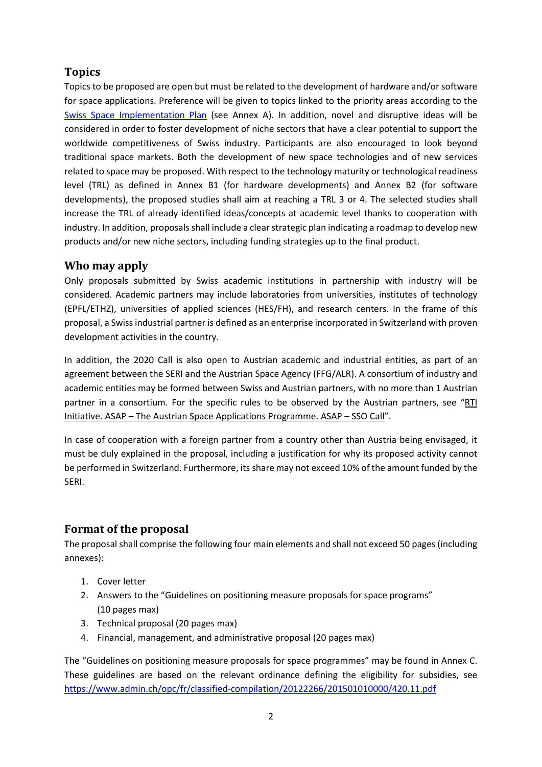### **Topics**

Topics to be proposed are open but must be related to the development of hardware and/or software for space applications. Preference will be given to topics linked to the priority areas according to the [Swiss Space Implementation Plan](https://www.sbfi.admin.ch/dam/sbfi/en/dokumente/webshop/2017/ssip-2018-2020.pdf.download.pdf/SSIP_Broschuere_e.pdf) (see Annex A). In addition, novel and disruptive ideas will be considered in order to foster development of niche sectors that have a clear potential to support the worldwide competitiveness of Swiss industry. Participants are also encouraged to look beyond traditional space markets. Both the development of new space technologies and of new services related to space may be proposed. With respect to the technology maturity or technological readiness level (TRL) as defined in Annex B1 (for hardware developments) and Annex B2 (for software developments), the proposed studies shall aim at reaching a TRL 3 or 4. The selected studies shall increase the TRL of already identified ideas/concepts at academic level thanks to cooperation with industry. In addition, proposals shall include a clear strategic plan indicating a roadmap to develop new products and/or new niche sectors, including funding strategies up to the final product.

### **Who may apply**

Only proposals submitted by Swiss academic institutions in partnership with industry will be considered. Academic partners may include laboratories from universities, institutes of technology (EPFL/ETHZ), universities of applied sciences (HES/FH), and research centers. In the frame of this proposal, a Swiss industrial partner is defined as an enterprise incorporated in Switzerland with proven development activities in the country.

In addition, the 2020 Call is also open to Austrian academic and industrial entities, as part of an agreement between the SERI and the Austrian Space Agency (FFG/ALR). A consortium of industry and academic entities may be formed between Swiss and Austrian partners, with no more than 1 Austrian partner in a consortium. For the specific rules to be observed by the Austrian partners, see ["RTI](http://www.ffg.at/ausschreibung/ASAP-SSO-2020)  Initiative. ASAP – [The Austrian Space Applications Programme. ASAP –](http://www.ffg.at/ausschreibung/ASAP-SSO-2020) SSO Call".

In case of cooperation with a foreign partner from a country other than Austria being envisaged, it must be duly explained in the proposal, including a justification for why its proposed activity cannot be performed in Switzerland. Furthermore, its share may not exceed 10% of the amount funded by the SERI.

### **Format of the proposal**

The proposal shall comprise the following four main elements and shall not exceed 50 pages(including annexes):

- 1. Cover letter
- 2. Answers to the "Guidelines on positioning measure proposals for space programs" (10 pages max)
- 3. Technical proposal (20 pages max)
- 4. Financial, management, and administrative proposal (20 pages max)

The "Guidelines on positioning measure proposals for space programmes" may be found in Annex C. These guidelines are based on the relevant ordinance defining the eligibility for subsidies, see <https://www.admin.ch/opc/fr/classified-compilation/20122266/201501010000/420.11.pdf>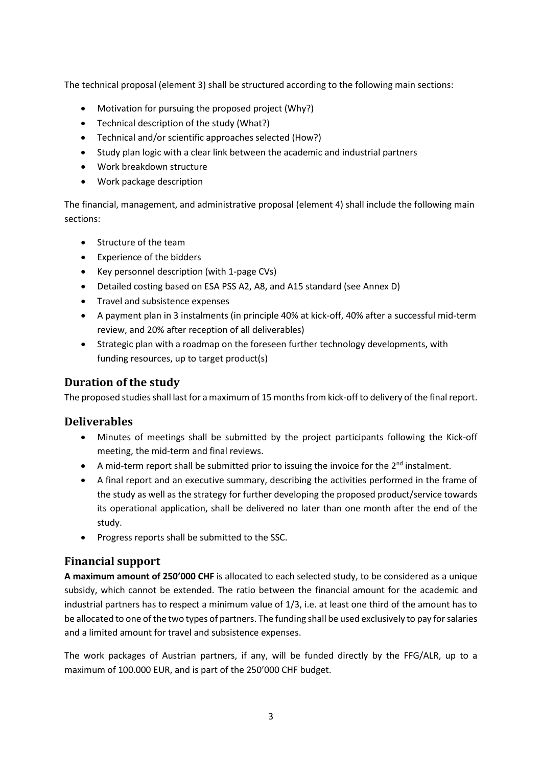The technical proposal (element 3) shall be structured according to the following main sections:

- Motivation for pursuing the proposed project (Why?)
- Technical description of the study (What?)
- Technical and/or scientific approaches selected (How?)
- Study plan logic with a clear link between the academic and industrial partners
- Work breakdown structure
- Work package description

The financial, management, and administrative proposal (element 4) shall include the following main sections:

- Structure of the team
- Experience of the bidders
- Key personnel description (with 1-page CVs)
- Detailed costing based on ESA PSS A2, A8, and A15 standard (see Annex D)
- Travel and subsistence expenses
- A payment plan in 3 instalments (in principle 40% at kick-off, 40% after a successful mid-term review, and 20% after reception of all deliverables)
- Strategic plan with a roadmap on the foreseen further technology developments, with funding resources, up to target product(s)

### **Duration of the study**

The proposed studies shall last for a maximum of 15 months from kick-off to delivery of the final report.

### **Deliverables**

- Minutes of meetings shall be submitted by the project participants following the Kick-off meeting, the mid-term and final reviews.
- A mid-term report shall be submitted prior to issuing the invoice for the  $2^{nd}$  instalment.
- A final report and an executive summary, describing the activities performed in the frame of the study as well as the strategy for further developing the proposed product/service towards its operational application, shall be delivered no later than one month after the end of the study.
- Progress reports shall be submitted to the SSC.

### **Financial support**

**A maximum amount of 250'000 CHF** is allocated to each selected study, to be considered as a unique subsidy, which cannot be extended. The ratio between the financial amount for the academic and industrial partners has to respect a minimum value of 1/3, i.e. at least one third of the amount has to be allocated to one of the two types of partners. The funding shall be used exclusively to pay for salaries and a limited amount for travel and subsistence expenses.

The work packages of Austrian partners, if any, will be funded directly by the FFG/ALR, up to a maximum of 100.000 EUR, and is part of the 250'000 CHF budget.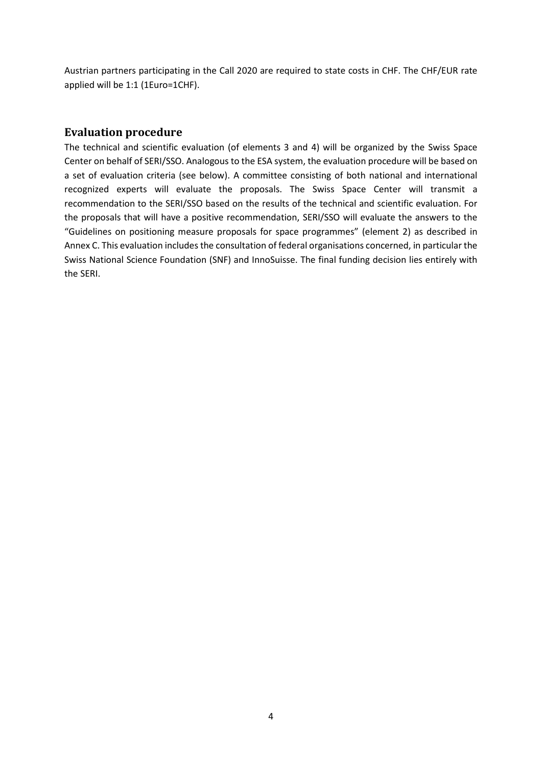Austrian partners participating in the Call 2020 are required to state costs in CHF. The CHF/EUR rate applied will be 1:1 (1Euro=1CHF).

### **Evaluation procedure**

The technical and scientific evaluation (of elements 3 and 4) will be organized by the Swiss Space Center on behalf of SERI/SSO. Analogous to the ESA system, the evaluation procedure will be based on a set of evaluation criteria (see below). A committee consisting of both national and international recognized experts will evaluate the proposals. The Swiss Space Center will transmit a recommendation to the SERI/SSO based on the results of the technical and scientific evaluation. For the proposals that will have a positive recommendation, SERI/SSO will evaluate the answers to the "Guidelines on positioning measure proposals for space programmes" (element 2) as described in Annex C. This evaluation includes the consultation of federal organisations concerned, in particular the Swiss National Science Foundation (SNF) and InnoSuisse. The final funding decision lies entirely with the SERI.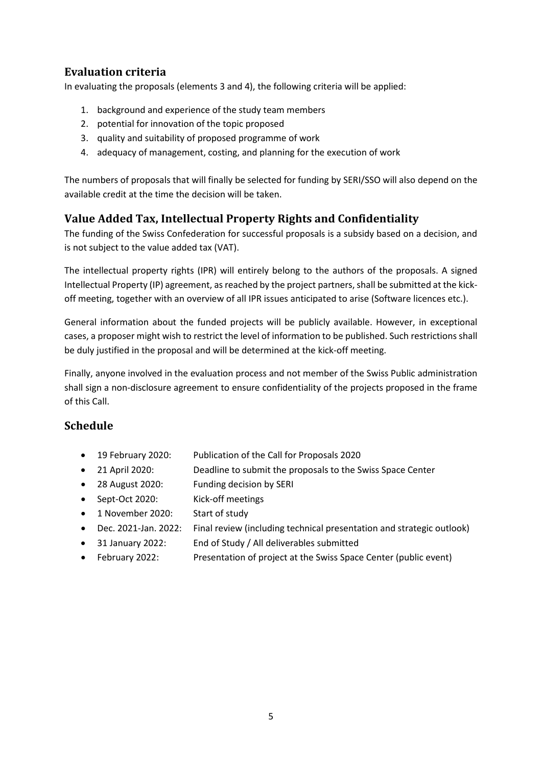### **Evaluation criteria**

In evaluating the proposals (elements 3 and 4), the following criteria will be applied:

- 1. background and experience of the study team members
- 2. potential for innovation of the topic proposed
- 3. quality and suitability of proposed programme of work
- 4. adequacy of management, costing, and planning for the execution of work

The numbers of proposals that will finally be selected for funding by SERI/SSO will also depend on the available credit at the time the decision will be taken.

### **Value Added Tax, Intellectual Property Rights and Confidentiality**

The funding of the Swiss Confederation for successful proposals is a subsidy based on a decision, and is not subject to the value added tax (VAT).

The intellectual property rights (IPR) will entirely belong to the authors of the proposals. A signed Intellectual Property (IP) agreement, as reached by the project partners, shall be submitted at the kickoff meeting, together with an overview of all IPR issues anticipated to arise (Software licences etc.).

General information about the funded projects will be publicly available. However, in exceptional cases, a proposer might wish to restrict the level of information to be published. Such restrictions shall be duly justified in the proposal and will be determined at the kick-off meeting.

Finally, anyone involved in the evaluation process and not member of the Swiss Public administration shall sign a non-disclosure agreement to ensure confidentiality of the projects proposed in the frame of this Call.

### **Schedule**

- 19 February 2020: Publication of the Call for Proposals 2020
- 21 April 2020: Deadline to submit the proposals to the Swiss Space Center
- 28 August 2020: Funding decision by SERI
- Sept-Oct 2020: Kick-off meetings
- 1 November 2020: Start of study
- Dec. 2021-Jan. 2022: Final review (including technical presentation and strategic outlook)
- 31 January 2022: End of Study / All deliverables submitted
- February 2022: Presentation of project at the Swiss Space Center (public event)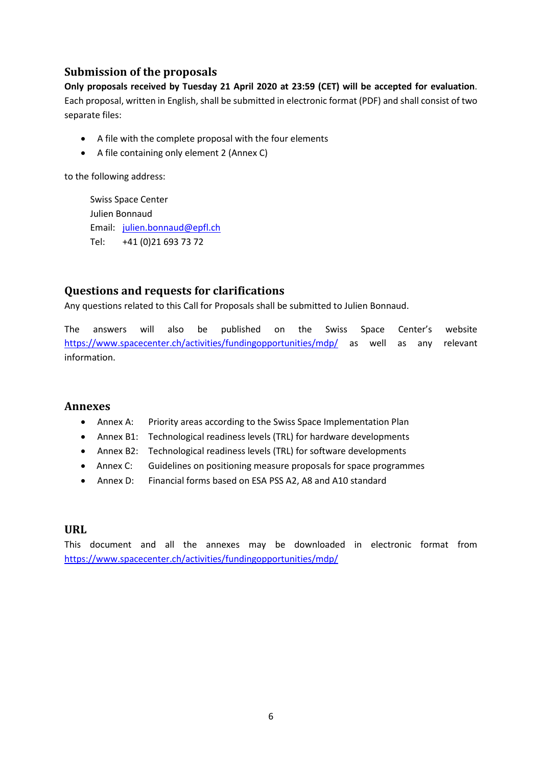### **Submission of the proposals**

**Only proposals received by Tuesday 21 April 2020 at 23:59 (CET) will be accepted for evaluation**. Each proposal, written in English, shall be submitted in electronic format (PDF) and shall consist of two separate files:

- A file with the complete proposal with the four elements
- A file containing only element 2 (Annex C)

to the following address:

Swiss Space Center Julien Bonnaud Email: julien.bonnaud@epfl.ch Tel: +41 (0)21 693 73 72

### **Questions and requests for clarifications**

Any questions related to this Call for Proposals shall be submitted to Julien Bonnaud.

The answers will also be published on the Swiss Space Center's website <https://www.spacecenter.ch/activities/fundingopportunities/mdp/> as well as any relevant information.

### **Annexes**

- Annex A: Priority areas according to the Swiss Space Implementation Plan
- Annex B1: Technological readiness levels (TRL) for hardware developments
- Annex B2: Technological readiness levels (TRL) for software developments
- Annex C: Guidelines on positioning measure proposals for space programmes
- Annex D: Financial forms based on ESA PSS A2, A8 and A10 standard

### **URL**

This document and all the annexes may be downloaded in electronic format from <https://www.spacecenter.ch/activities/fundingopportunities/mdp/>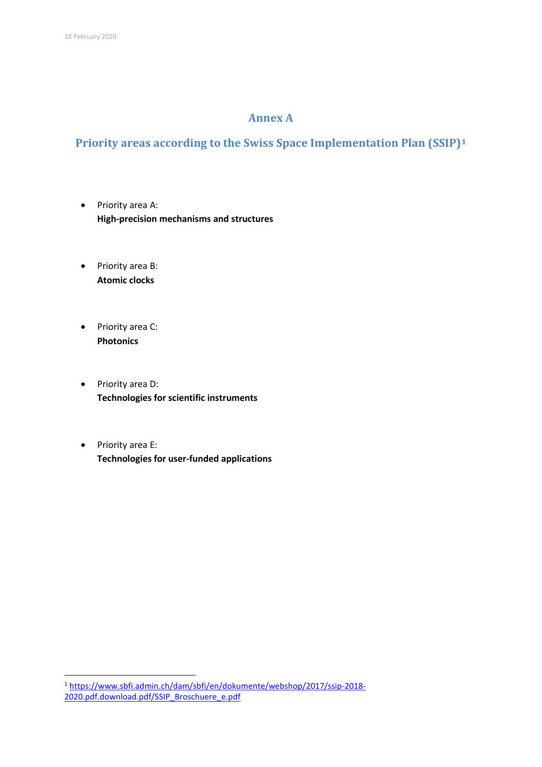### **Annex A**

### **Priority areas according to the Swiss Space Implementation Plan (SSIP)[1](#page-6-0)**

- Priority area A: **High-precision mechanisms and structures**
- Priority area B: **Atomic clocks**
- Priority area C: **Photonics**
- Priority area D: **Technologies for scientific instruments**
- Priority area E: **Technologies for user-funded applications**

<span id="page-6-0"></span> <sup>1</sup> [https://www.sbfi.admin.ch/dam/sbfi/en/dokumente/webshop/2017/ssip-2018-](https://www.sbfi.admin.ch/dam/sbfi/en/dokumente/webshop/2017/ssip-2018-2020.pdf.download.pdf/SSIP_Broschuere_e.pdf) [2020.pdf.download.pdf/SSIP\\_Broschuere\\_e.pdf](https://www.sbfi.admin.ch/dam/sbfi/en/dokumente/webshop/2017/ssip-2018-2020.pdf.download.pdf/SSIP_Broschuere_e.pdf)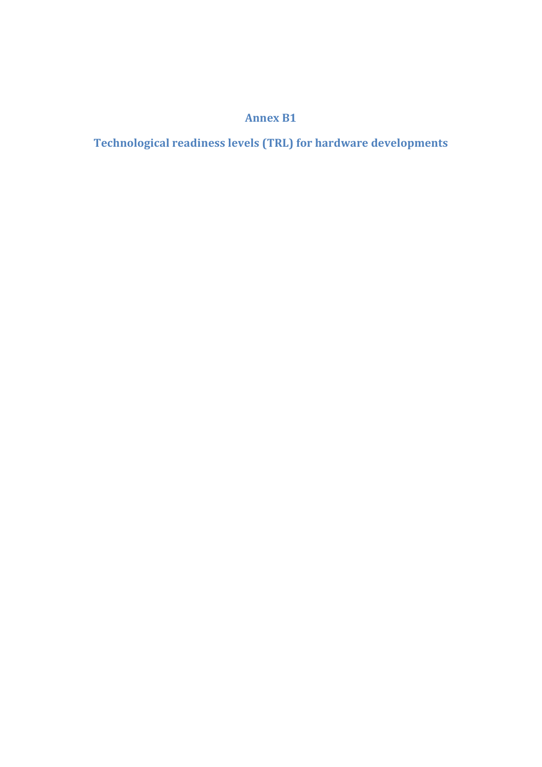## **Annex B1**

**Technological readiness levels (TRL) for hardware developments**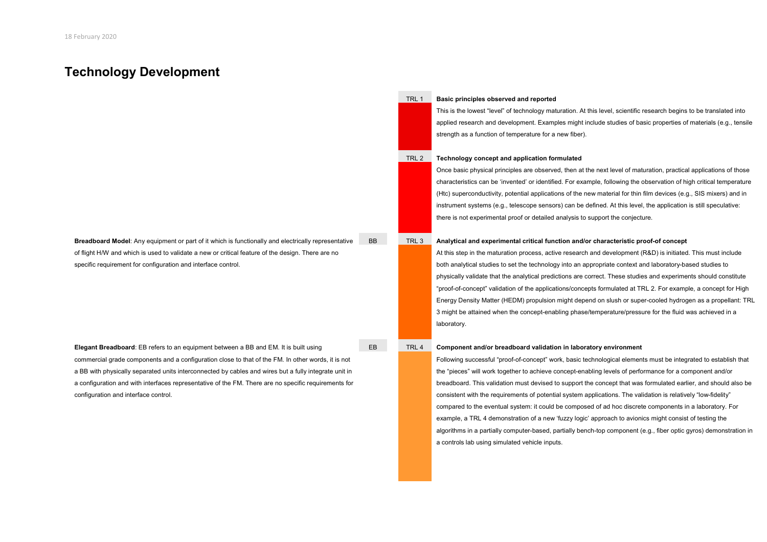### **Technology Development**

**Breadboard Model**: Any equipment or part of it which is functionally and electrically representative of flight H/W and which is used to validate a new or critical feature of the design. There are no specific requirement for configuration and interface control.

**Elegant Breadboard**: EB refers to an equipment between a BB and EM. It is built using commercial grade components and a configuration close to that of the FM. In other words, it is not a BB with physically separated units interconnected by cables and wires but a fully integrate unit in a configuration and with interfaces representative of the FM. There are no specific requirements for configuration and interface control.

#### TRL 1 **Basic principles observed and reported**

This is the lowest "level" of technology maturation. At this level, scientific research begins to be translated into applied research and development. Examples might include studies of basic properties of materials (e.g., tensile strength as a function of temperature for a new fiber).

### TRL 2 **Technology concept and application formulated**

Once basic physical principles are observed, then at the next level of maturation, practical applications of those characteristics can be 'invented' or identified. For example, following the observation of high critical temperature (Htc) superconductivity, potential applications of the new material for thin film devices (e.g., SIS mixers) and in instrument systems (e.g., telescope sensors) can be defined. At this level, the application is still speculative: there is not experimental proof or detailed analysis to support the conjecture.

#### BB TRL 3 **Analytical and experimental critical function and/or characteristic proof-of concept**

At this step in the maturation process, active research and development (R&D) is initiated. This must include both analytical studies to set the technology into an appropriate context and laboratory-based studies to physically validate that the analytical predictions are correct. These studies and experiments should constitute "proof-of-concept" validation of the applications/concepts formulated at TRL 2. For example, a concept for High Energy Density Matter (HEDM) propulsion might depend on slush or super-cooled hydrogen as a propellant: TRL 3 might be attained when the concept-enabling phase/temperature/pressure for the fluid was achieved in a laboratory.

#### EB TRL 4 **Component and/or breadboard validation in laboratory environment**

Following successful "proof-of-concept" work, basic technological elements must be integrated to establish that the "pieces" will work together to achieve concept-enabling levels of performance for a component and/or breadboard. This validation must devised to support the concept that was formulated earlier, and should also be consistent with the requirements of potential system applications. The validation is relatively "low-fidelity" compared to the eventual system: it could be composed of ad hoc discrete components in a laboratory. For example, a TRL 4 demonstration of a new 'fuzzy logic' approach to avionics might consist of testing the algorithms in a partially computer-based, partially bench-top component (e.g., fiber optic gyros) demonstration in a controls lab using simulated vehicle inputs.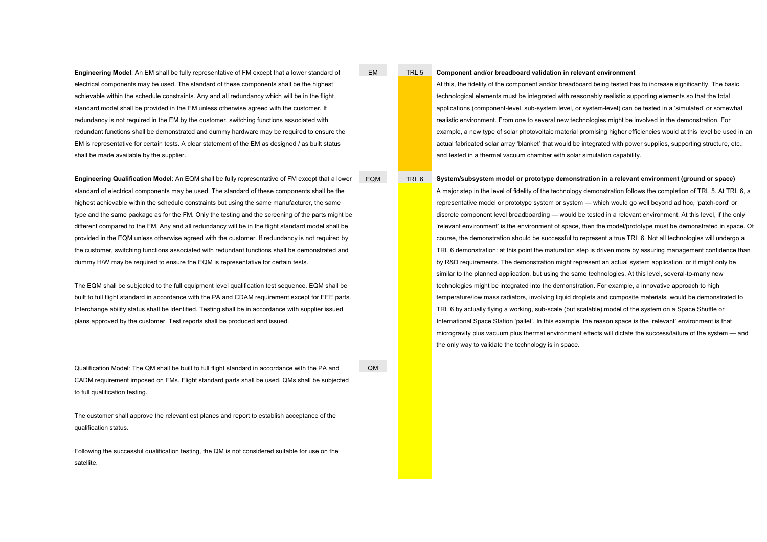**Engineering Model**: An EM shall be fully representative of FM except that a lower standard of electrical components may be used. The standard of these components shall be the highest achievable within the schedule constraints. Any and all redundancy which will be in the flight standard model shall be provided in the EM unless otherwise agreed with the customer. If redundancy is not required in the EM by the customer, switching functions associated with redundant functions shall be demonstrated and dummy hardware may be required to ensure the EM is representative for certain tests. A clear statement of the EM as designed / as built status shall be made available by the supplier.

**Engineering Qualification Model**: An EQM shall be fully representative of FM except that a lower standard of electrical components may be used. The standard of these components shall be the highest achievable within the schedule constraints but using the same manufacturer, the same type and the same package as for the FM. Only the testing and the screening of the parts might be different compared to the FM. Any and all redundancy will be in the flight standard model shall be provided in the EQM unless otherwise agreed with the customer. If redundancy is not required by the customer, switching functions associated with redundant functions shall be demonstrated and dummy H/W may be required to ensure the EQM is representative for certain tests.

The EQM shall be subjected to the full equipment level qualification test sequence. EQM shall be built to full flight standard in accordance with the PA and CDAM requirement except for EEE parts. Interchange ability status shall be identified. Testing shall be in accordance with supplier issued plans approved by the customer. Test reports shall be produced and issued.

Qualification Model: The QM shall be built to full flight standard in accordance with the PA and CADM requirement imposed on FMs. Flight standard parts shall be used. QMs shall be subjected to full qualification testing.

The customer shall approve the relevant est planes and report to establish acceptance of the qualification status.

Following the successful qualification testing, the QM is not considered suitable for use on the satellite.

QM

#### EM TRL 5 **Component and/or breadboard validation in relevant environment**

At this, the fidelity of the component and/or breadboard being tested has to increase significantly. The basic technological elements must be integrated with reasonably realistic supporting elements so that the total applications (component-level, sub-system level, or system-level) can be tested in a 'simulated' or somewhat realistic environment. From one to several new technologies might be involved in the demonstration. For example, a new type of solar photovoltaic material promising higher efficiencies would at this level be used in an actual fabricated solar array 'blanket' that would be integrated with power supplies, supporting structure, etc., and tested in a thermal vacuum chamber with solar simulation capability.

#### EQM TRL 6 **System/subsystem model or prototype demonstration in a relevant environment (ground or space)**

A major step in the level of fidelity of the technology demonstration follows the completion of TRL 5. At TRL 6, a representative model or prototype system or system — which would go well beyond ad hoc, 'patch-cord' or discrete component level breadboarding — would be tested in a relevant environment. At this level, if the only 'relevant environment' is the environment of space, then the model/prototype must be demonstrated in space. Of course, the demonstration should be successful to represent a true TRL 6. Not all technologies will undergo a TRL 6 demonstration: at this point the maturation step is driven more by assuring management confidence than by R&D requirements. The demonstration might represent an actual system application, or it might only be similar to the planned application, but using the same technologies. At this level, several-to-many new technologies might be integrated into the demonstration. For example, a innovative approach to high temperature/low mass radiators, involving liquid droplets and composite materials, would be demonstrated to TRL 6 by actually flying a working, sub-scale (but scalable) model of the system on a Space Shuttle or International Space Station 'pallet'. In this example, the reason space is the 'relevant' environment is that microgravity plus vacuum plus thermal environment effects will dictate the success/failure of the system — and the only way to validate the technology is in space.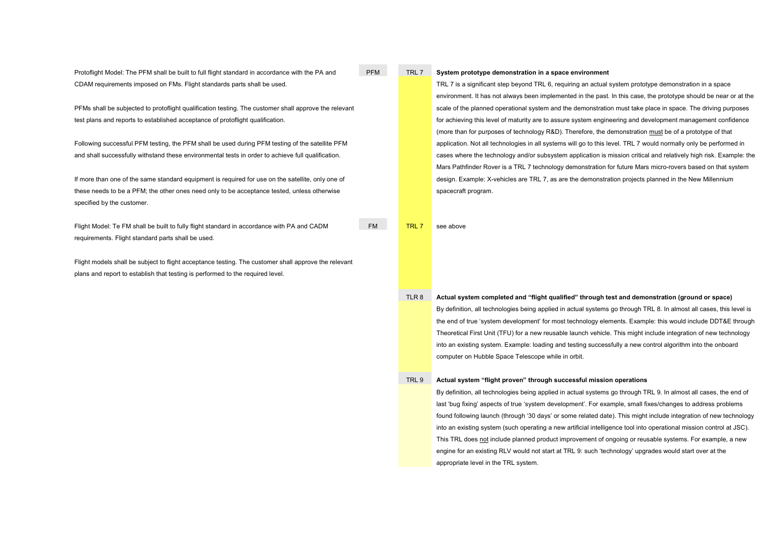Protoflight Model: The PFM shall be built to full flight standard in accordance with the PA and CDAM requirements imposed on FMs. Flight standards parts shall be used.

PFMs shall be subjected to protoflight qualification testing. The customer shall approve the relevant test plans and reports to established acceptance of protoflight qualification.

Following successful PFM testing, the PFM shall be used during PFM testing of the satellite PFM and shall successfully withstand these environmental tests in order to achieve full qualification.

If more than one of the same standard equipment is required for use on the satellite, only one of these needs to be a PFM; the other ones need only to be acceptance tested, unless otherwise specified by the customer.

Flight Model: Te FM shall be built to fully flight standard in accordance with PA and CADM requirements. Flight standard parts shall be used.

Flight models shall be subject to flight acceptance testing. The customer shall approve the relevant plans and report to establish that testing is performed to the required level.

#### PFM TRL 7 **System prototype demonstration in a space environment**

TRL 7 is a significant step beyond TRL 6, requiring an actual system prototype demonstration in a space environment. It has not always been implemented in the past. In this case, the prototype should be near or at the scale of the planned operational system and the demonstration must take place in space. The driving purposes for achieving this level of maturity are to assure system engineering and development management confidence (more than for purposes of technology R&D). Therefore, the demonstration must be of a prototype of that application. Not all technologies in all systems will go to this level. TRL 7 would normally only be performed in cases where the technology and/or subsystem application is mission critical and relatively high risk. Example: the Mars Pathfinder Rover is a TRL 7 technology demonstration for future Mars micro-rovers based on that system design. Example: X-vehicles are TRL 7, as are the demonstration projects planned in the New Millennium spacecraft program.

FM TRL 7 see above

#### TLR 8 **Actual system completed and "flight qualified" through test and demonstration (ground or space)**

By definition, all technologies being applied in actual systems go through TRL 8. In almost all cases, this level is the end of true 'system development' for most technology elements. Example: this would include DDT&E through Theoretical First Unit (TFU) for a new reusable launch vehicle. This might include integration of new technology into an existing system. Example: loading and testing successfully a new control algorithm into the onboard computer on Hubble Space Telescope while in orbit.

#### TRL 9 **Actual system "flight proven" through successful mission operations**

By definition, all technologies being applied in actual systems go through TRL 9. In almost all cases, the end of last 'bug fixing' aspects of true 'system development'. For example, small fixes/changes to address problems found following launch (through '30 days' or some related date). This might include integration of new technology into an existing system (such operating a new artificial intelligence tool into operational mission control at JSC). This TRL does not include planned product improvement of ongoing or reusable systems. For example, a new engine for an existing RLV would not start at TRL 9: such 'technology' upgrades would start over at the appropriate level in the TRL system.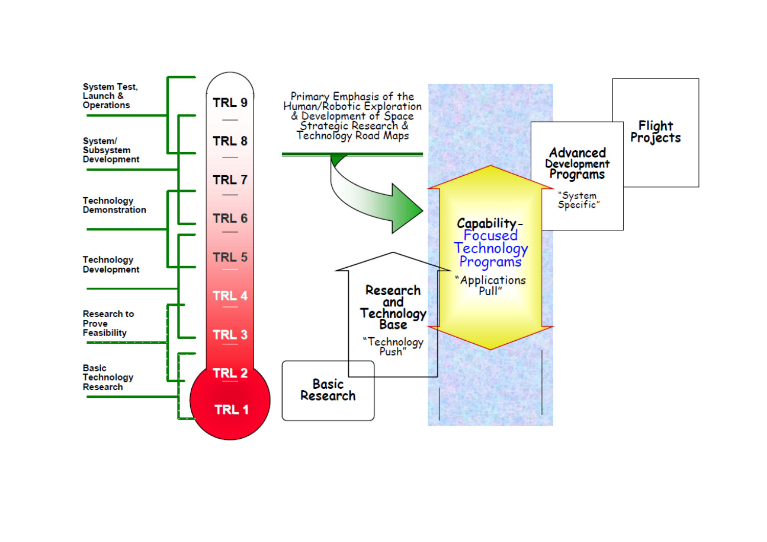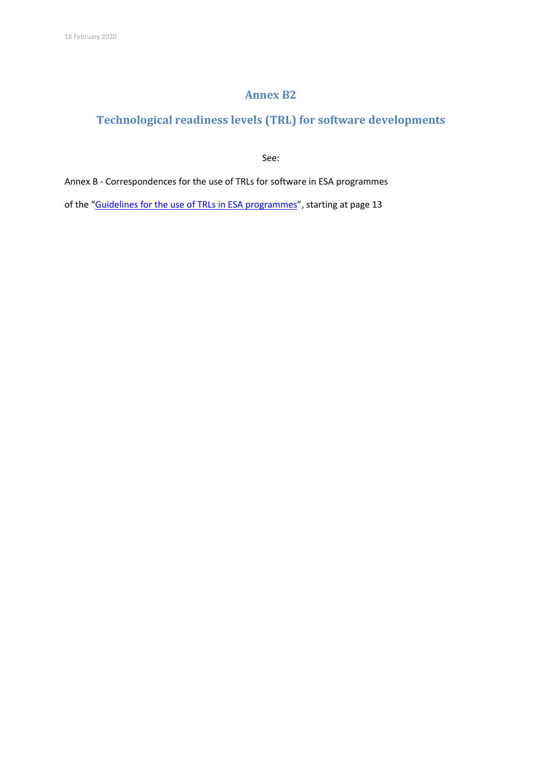### **Annex B2**

### **Technological readiness levels (TRL) for software developments**

See:

Annex B - Correspondences for the use of TRLs for software in ESA programmes

of the ["Guidelines for the use of TRLs in ESA programmes"](https://artes.esa.int/sites/default/files/ESSB-HB-E-002-Issue1%2821August2013%29.pdf), starting at page 13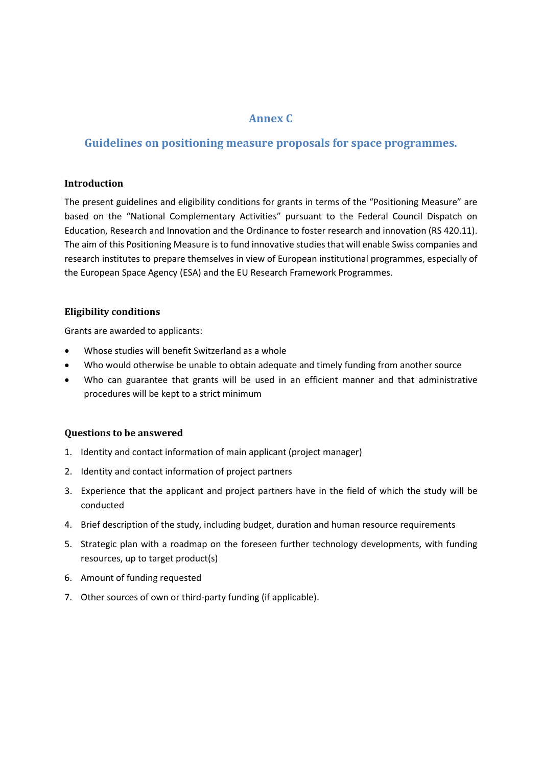### **Annex C**

### **Guidelines on positioning measure proposals for space programmes.**

### **Introduction**

The present guidelines and eligibility conditions for grants in terms of the "Positioning Measure" are based on the "National Complementary Activities" pursuant to the Federal Council Dispatch on Education, Research and Innovation and the Ordinance to foster research and innovation (RS 420.11). The aim of this Positioning Measure is to fund innovative studies that will enable Swiss companies and research institutes to prepare themselves in view of European institutional programmes, especially of the European Space Agency (ESA) and the EU Research Framework Programmes.

### **Eligibility conditions**

Grants are awarded to applicants:

- Whose studies will benefit Switzerland as a whole
- Who would otherwise be unable to obtain adequate and timely funding from another source
- Who can guarantee that grants will be used in an efficient manner and that administrative procedures will be kept to a strict minimum

### **Questions to be answered**

- 1. Identity and contact information of main applicant (project manager)
- 2. Identity and contact information of project partners
- 3. Experience that the applicant and project partners have in the field of which the study will be conducted
- 4. Brief description of the study, including budget, duration and human resource requirements
- 5. Strategic plan with a roadmap on the foreseen further technology developments, with funding resources, up to target product(s)
- 6. Amount of funding requested
- 7. Other sources of own or third-party funding (if applicable).